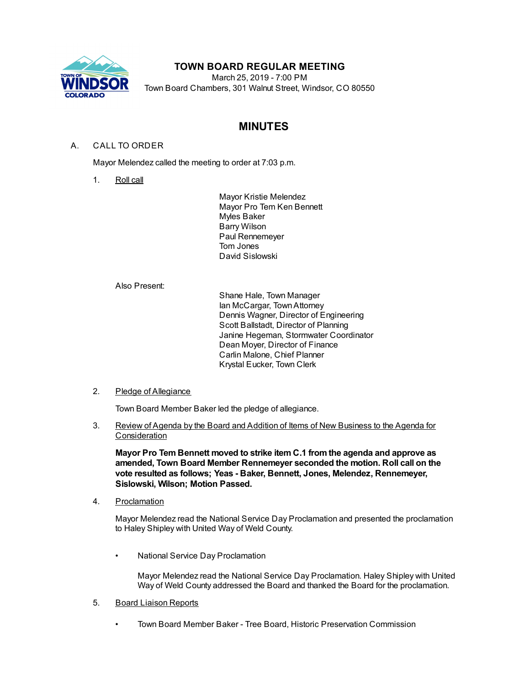

# **TOWN BOARD REGULAR MEETING**

March 25, 2019 - 7:00 PM Town Board Chambers, 301 Walnut Street, Windsor, CO 80550

# **MINUTES**

# A. CALL TO ORDER

Mayor Melendez called the meeting to order at 7:03 p.m.

1. Roll call

Mayor Kristie Melendez Mayor Pro Tem Ken Bennett Myles Baker Barry Wilson Paul Rennemeyer Tom Jones David Sislowski

Also Present:

Shane Hale, Town Manager Ian McCargar, TownAttorney Dennis Wagner, Director of Engineering Scott Ballstadt, Director of Planning Janine Hegeman, Stormwater Coordinator Dean Moyer, Director of Finance Carlin Malone, Chief Planner Krystal Eucker, Town Clerk

## 2. Pledge of Allegiance

Town Board Member Baker led the pledge of allegiance.

3. Review of Agenda by the Board and Addition of Items of New Business to the Agenda for **Consideration** 

**Mayor Pro Tem Bennett moved to strike item C.1 fromthe agenda and approve as amended, Town Board Member Rennemeyer seconded the motion. Roll call on the vote resulted as follows; Yeas - Baker, Bennett, Jones, Melendez, Rennemeyer, Sislowski, Wilson; Motion Passed.**

4. Proclamation

Mayor Melendez read the National Service Day Proclamation and presented the proclamation to Haley Shipley with United Way of Weld County.

• National Service Day Proclamation

Mayor Melendez read the National Service Day Proclamation. Haley Shipley with United Way of Weld County addressed the Board and thanked the Board for the proclamation.

- 5. Board Liaison Reports
	- Town Board Member Baker Tree Board, Historic Preservation Commission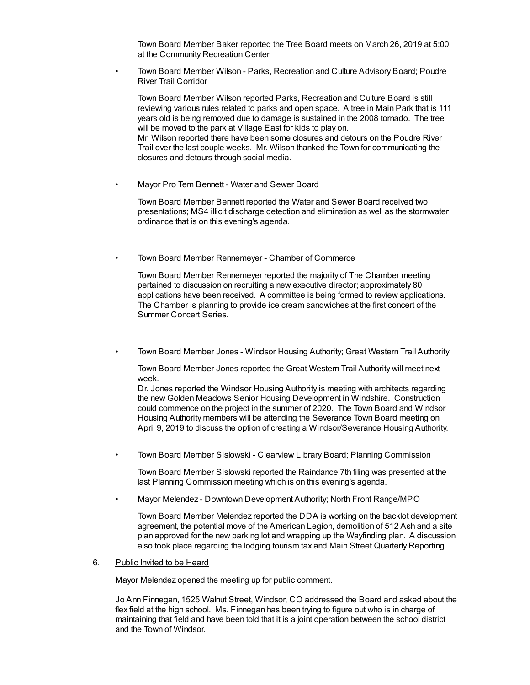Town Board Member Baker reported the Tree Board meets on March 26, 2019 at 5:00 at the Community Recreation Center.

• Town Board Member Wilson - Parks, Recreation and Culture Advisory Board; Poudre River Trail Corridor

Town Board Member Wilson reported Parks, Recreation and Culture Board is still reviewing various rules related to parks and open space. A tree in Main Park that is 111 years old is being removed due to damage is sustained in the 2008 tornado. The tree will be moved to the park at Village East for kids to play on. Mr. Wilson reported there have been some closures and detours on the Poudre River Trail over the last couple weeks. Mr. Wilson thanked the Town for communicating the closures and detours through social media.

• Mayor Pro Tem Bennett - Water and Sewer Board

Town Board Member Bennett reported the Water and Sewer Board received two presentations; MS4 illicit discharge detection and elimination as well as the stormwater ordinance that is on this evening's agenda.

• Town Board Member Rennemeyer - Chamber of Commerce

Town Board Member Rennemeyer reported the majority of The Chamber meeting pertained to discussion on recruiting a new executive director; approximately 80 applications have been received. A committee is being formed to review applications. The Chamber is planning to provide ice cream sandwiches at the first concert of the Summer Concert Series.

• Town Board Member Jones - Windsor Housing Authority; Great Western Trail Authority

Town Board Member Jones reported the Great Western Trail Authority will meet next week.

Dr. Jones reported the Windsor Housing Authority is meeting with architects regarding the new Golden Meadows Senior Housing Development in Windshire. Construction could commence on the project in the summer of 2020. The Town Board and Windsor Housing Authority members will be attending the Severance Town Board meeting on April 9, 2019 to discuss the option of creating a Windsor/Severance Housing Authority.

• Town Board Member Sislowski - Clearview Library Board; Planning Commission

Town Board Member Sislowski reported the Raindance 7th filing was presented at the last Planning Commission meeting which is on this evening's agenda.

• Mayor Melendez - Downtown Development Authority; North Front Range/MPO

Town Board Member Melendez reported the DDA is working on the backlot development agreement, the potential move of the American Legion, demolition of 512 Ash and a site plan approved for the new parking lot and wrapping up the Wayfinding plan. A discussion also took place regarding the lodging tourism tax and Main Street Quarterly Reporting.

### 6. Public Invited to be Heard

Mayor Melendez opened the meeting up for public comment.

Jo Ann Finnegan, 1525 Walnut Street, Windsor, CO addressed the Board and asked about the flex field at the high school. Ms. Finnegan has been trying to figure out who is in charge of maintaining that field and have been told that it is a joint operation between the school district and the Town of Windsor.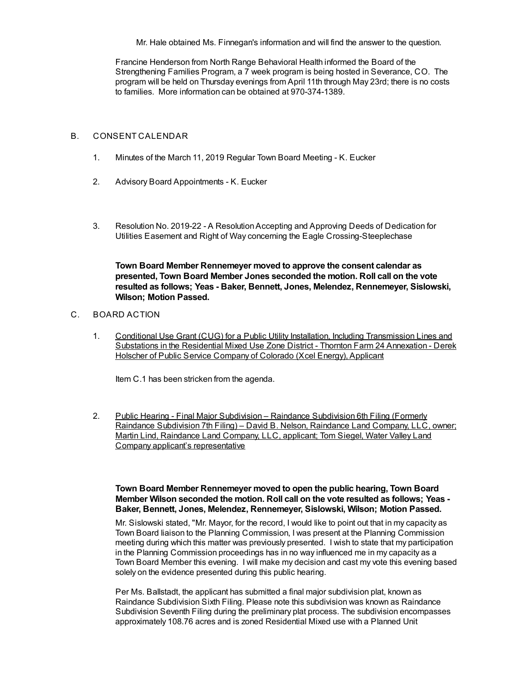Mr. Hale obtained Ms. Finnegan's information and will find the answer to the question.

Francine Henderson from North Range Behavioral Health informed the Board of the Strengthening Families Program, a 7 week program is being hosted in Severance, CO. The program will be held on Thursday evenings from April 11th through May 23rd; there is no costs to families. More information can be obtained at 970-374-1389.

### B. CONSENT CALENDAR

- 1. Minutes of the March 11, 2019 Regular Town Board Meeting K. Eucker
- 2. Advisory Board Appointments K. Eucker
- 3. Resolution No. 2019-22 A ResolutionAccepting and Approving Deeds of Dedication for Utilities Easement and Right of Way concerning the Eagle Crossing-Steeplechase

**Town Board Member Rennemeyer moved to approve the consent calendar as presented, Town Board Member Jones seconded the motion. Roll call on the vote resulted as follows; Yeas - Baker, Bennett, Jones, Melendez, Rennemeyer, Sislowski, Wilson; Motion Passed.**

## C. BOARD ACTION

1. Conditional Use Grant (CUG) for a Public Utility Installation, Including Transmission Lines and Substations in the Residential Mixed Use Zone District - Thornton Farm 24 Annexation - Derek Holscher of Public Service Company of Colorado (Xcel Energy), Applicant

Item C.1 has been stricken from the agenda.

2. Public Hearing - Final Major Subdivision - Raindance Subdivision 6th Filing (Formerly Raindance Subdivision 7th Filing) – David B. Nelson, Raindance Land Company, LLC, owner; Martin Lind, Raindance Land Company, LLC, applicant; Tom Siegel, Water Valley Land Company applicant's representative

## **Town Board Member Rennemeyer moved to open the public hearing, Town Board Member Wilson seconded the motion. Roll call on the vote resulted as follows; Yeas - Baker, Bennett, Jones, Melendez, Rennemeyer, Sislowski, Wilson; Motion Passed.**

Mr. Sislowski stated, "Mr. Mayor, for the record, I would like to point out that in my capacity as Town Board liaison to the Planning Commission, I was present at the Planning Commission meeting during which this matter was previously presented. I wish to state that my participation in the Planning Commission proceedings has in no way influenced me in my capacity as a Town Board Member this evening. I will make my decision and cast my vote this evening based solely on the evidence presented during this public hearing.

Per Ms. Ballstadt, the applicant has submitted a final major subdivision plat, known as Raindance Subdivision Sixth Filing. Please note this subdivision was known as Raindance Subdivision Seventh Filing during the preliminary plat process. The subdivision encompasses approximately 108.76 acres and is zoned Residential Mixed use with a Planned Unit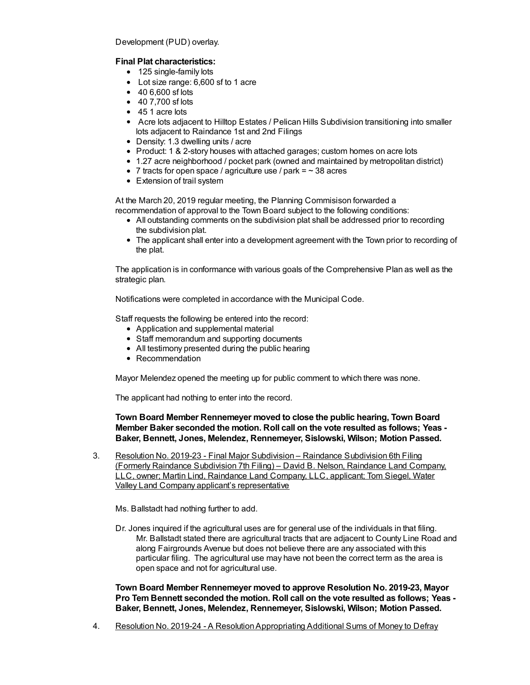Development (PUD) overlay.

# **Final Plat characteristics:**

- 125 single-family lots
- Lot size range: 6,600 sf to 1 acre
- 40 6,600 sf lots
- 40 7,700 sf lots
- 45 1 acre lots
- Acre lots adjacent to Hilltop Estates / Pelican Hills Subdivision transitioning into smaller lots adjacent to Raindance 1st and 2nd Filings
- Density: 1.3 dwelling units / acre
- Product: 1 & 2-story houses with attached garages; custom homes on acre lots
- 1.27 acre neighborhood / pocket park (owned and maintained by metropolitan district)
- 7 tracts for open space / agriculture use / park  $=$   $\sim$  38 acres
- Extension of trail system

At the March 20, 2019 regular meeting, the Planning Commisison forwarded a recommendation of approval to the Town Board subject to the following conditions:

- All outstanding comments on the subdivision plat shall be addressed prior to recording the subdivision plat.
- The applicant shall enter into a development agreement with the Town prior to recording of the plat.

The application is in conformance with various goals of the Comprehensive Plan as well as the strategic plan.

Notifications were completed in accordance with the Municipal Code.

Staff requests the following be entered into the record:

- Application and supplemental material
- Staff memorandum and supporting documents
- All testimony presented during the public hearing
- Recommendation

Mayor Melendez opened the meeting up for public comment to which there was none.

The applicant had nothing to enter into the record.

**Town Board Member Rennemeyer moved to close the public hearing, Town Board Member Baker seconded the motion. Roll call on the vote resulted as follows; Yeas - Baker, Bennett, Jones, Melendez, Rennemeyer, Sislowski, Wilson; Motion Passed.**

3. Resolution No. 2019-23 - Final Major Subdivision – Raindance Subdivision 6th Filing (Formerly Raindance Subdivision 7th Filing) – David B. Nelson, Raindance Land Company, LLC, owner; Martin Lind, Raindance Land Company, LLC, applicant; Tom Siegel, Water Valley Land Company applicant's representative

Ms. Ballstadt had nothing further to add.

Dr. Jones inquired if the agricultural uses are for general use of the individuals in that filing. Mr. Ballstadt stated there are agricultural tracts that are adjacent to County Line Road and along Fairgrounds Avenue but does not believe there are any associated with this particular filing. The agricultural use may have not been the correct term as the area is open space and not for agricultural use.

**Town Board Member Rennemeyer moved to approve Resolution No. 2019-23, Mayor Pro Tem Bennett seconded the motion. Roll call on the vote resulted as follows; Yeas - Baker, Bennett, Jones, Melendez, Rennemeyer, Sislowski, Wilson; Motion Passed.**

4. Resolution No. 2019-24 - A ResolutionAppropriating Additional Sums of Money to Defray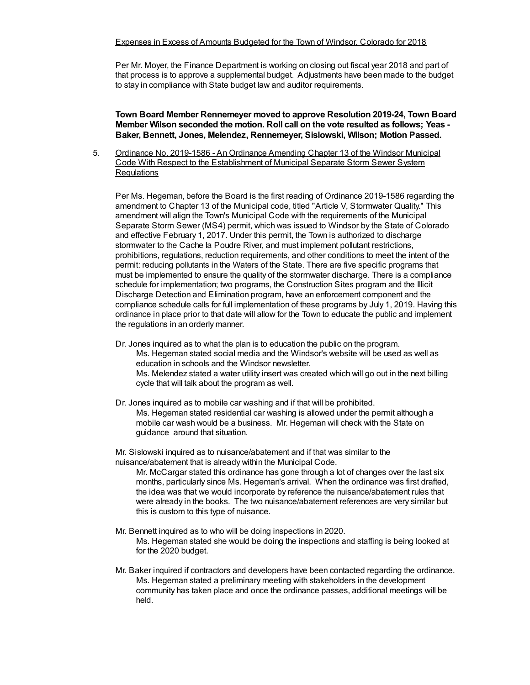Per Mr. Moyer, the Finance Department is working on closing out fiscal year 2018 and part of that process is to approve a supplemental budget. Adjustments have been made to the budget to stay in compliance with State budget law and auditor requirements.

**Town Board Member Rennemeyer moved to approve Resolution 2019-24, Town Board Member Wilson seconded the motion. Roll call on the vote resulted as follows; Yeas - Baker, Bennett, Jones, Melendez, Rennemeyer, Sislowski, Wilson; Motion Passed.**

5. Ordinance No. 2019-1586 - An Ordinance Amending Chapter 13 of the Windsor Municipal Code With Respect to the Establishment of Municipal Separate Storm Sewer System **Requlations** 

Per Ms. Hegeman, before the Board is the first reading of Ordinance 2019-1586 regarding the amendment to Chapter 13 of the Municipal code, titled "Article V, Stormwater Quality." This amendment will align the Town's Municipal Code with the requirements of the Municipal Separate Storm Sewer (MS4) permit, which was issued to Windsor by the State of Colorado and effective February 1, 2017. Under this permit, the Town is authorized to discharge stormwater to the Cache la Poudre River, and must implement pollutant restrictions, prohibitions, regulations, reduction requirements, and other conditions to meet the intent of the permit: reducing pollutants in the Waters of the State. There are five specific programs that must be implemented to ensure the quality of the stormwater discharge. There is a compliance schedule for implementation; two programs, the Construction Sites program and the Illicit Discharge Detection and Elimination program, have an enforcement component and the compliance schedule calls for full implementation of these programs by July 1, 2019. Having this ordinance in place prior to that date will allow for the Town to educate the public and implement the regulations in an orderly manner.

- Dr. Jones inquired as to what the plan is to education the public on the program. Ms. Hegeman stated social media and the Windsor's website will be used as well as education in schools and the Windsor newsletter. Ms. Melendez stated a water utility insert was created which will go out in the next billing cycle that will talk about the program as well.
- Dr. Jones inquired as to mobile car washing and if that will be prohibited. Ms. Hegeman stated residential car washing is allowed under the permit although a mobile car wash would be a business. Mr. Hegeman will check with the State on guidance around that situation.

Mr. Sislowski inquired as to nuisance/abatement and if that was similar to the nuisance/abatement that is already within the Municipal Code.

Mr. McCargar stated this ordinance has gone through a lot of changes over the last six months, particularly since Ms. Hegeman's arrival. When the ordinance was first drafted, the idea was that we would incorporate by reference the nuisance/abatement rules that were already in the books. The two nuisance/abatement references are very similar but this is custom to this type of nuisance.

- Mr. Bennett inquired as to who will be doing inspections in 2020. Ms. Hegeman stated she would be doing the inspections and staffing is being looked at for the 2020 budget.
- Mr. Baker inquired if contractors and developers have been contacted regarding the ordinance. Ms. Hegeman stated a preliminary meeting with stakeholders in the development community has taken place and once the ordinance passes, additional meetings will be held.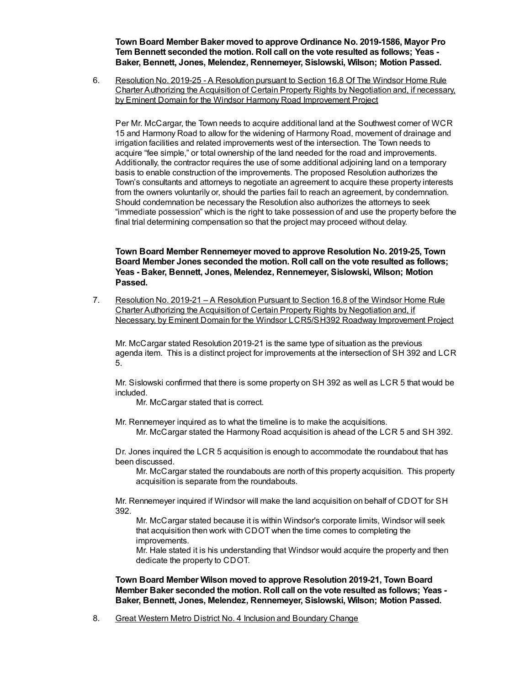**Town Board Member Baker moved to approve Ordinance No. 2019-1586, Mayor Pro Tem Bennett seconded the motion. Roll call on the vote resulted as follows; Yeas - Baker, Bennett, Jones, Melendez, Rennemeyer, Sislowski, Wilson; Motion Passed.**

6. Resolution No. 2019-25 - A Resolution pursuant to Section 16.8 Of The Windsor Home Rule Charter Authorizing the Acquisition of Certain Property Rights by Negotiation and, if necessary, by Eminent Domain for the Windsor Harmony Road Improvement Project

Per Mr. McCargar, the Town needs to acquire additional land at the Southwest corner of WCR 15 and Harmony Road to allow for the widening of Harmony Road, movement of drainage and irrigation facilities and related improvements west of the intersection. The Town needs to acquire "fee simple," or total ownership of the land needed for the road and improvements. Additionally, the contractor requires the use of some additional adjoining land on a temporary basis to enable construction of the improvements. The proposed Resolution authorizes the Town's consultants and attorneys to negotiate an agreement to acquire these property interests from the owners voluntarily or, should the parties fail to reach an agreement, by condemnation. Should condemnation be necessary the Resolution also authorizes the attorneys to seek "immediate possession" which is the right to take possession of and use the property before the final trial determining compensation so that the project may proceed without delay.

**Town Board Member Rennemeyer moved to approve Resolution No. 2019-25, Town Board Member Jones seconded the motion. Roll call on the vote resulted as follows; Yeas - Baker, Bennett, Jones, Melendez, Rennemeyer, Sislowski, Wilson; Motion Passed.**

7. Resolution No. 2019-21 – A Resolution Pursuant to Section 16.8 of the Windsor Home Rule Charter Authorizing the Acquisition of Certain Property Rights by Negotiation and, if Necessary, by Eminent Domain for the Windsor LCR5/SH392 Roadway Improvement Project

Mr. McCargar stated Resolution 2019-21 is the same type of situation as the previous agenda item. This is a distinct project for improvements at the intersection of SH 392 and LCR 5.

Mr. Sislowski confirmed that there is some property on SH 392 as well as LCR 5 that would be included.

Mr. McCargar stated that is correct.

Mr. Rennemeyer inquired as to what the timeline is to make the acquisitions.

Mr. McCargar stated the Harmony Road acquisition is ahead of the LCR 5 and SH 392.

Dr. Jones inquired the LCR 5 acquisition is enough to accommodate the roundabout that has been discussed.

Mr. McCargar stated the roundabouts are north of this property acquisition. This property acquisition is separate from the roundabouts.

Mr. Rennemeyer inquired if Windsor will make the land acquisition on behalf of CDOT for SH 392.

Mr. McCargar stated because it is within Windsor's corporate limits, Windsor will seek that acquisition then work with CDOT when the time comes to completing the improvements.

Mr. Hale stated it is his understanding that Windsor would acquire the property and then dedicate the property to CDOT.

**Town Board Member Wilson moved to approve Resolution 2019-21, Town Board Member Baker seconded the motion. Roll call on the vote resulted as follows; Yeas - Baker, Bennett, Jones, Melendez, Rennemeyer, Sislowski, Wilson; Motion Passed.**

8. Great Western Metro District No. 4 Inclusion and Boundary Change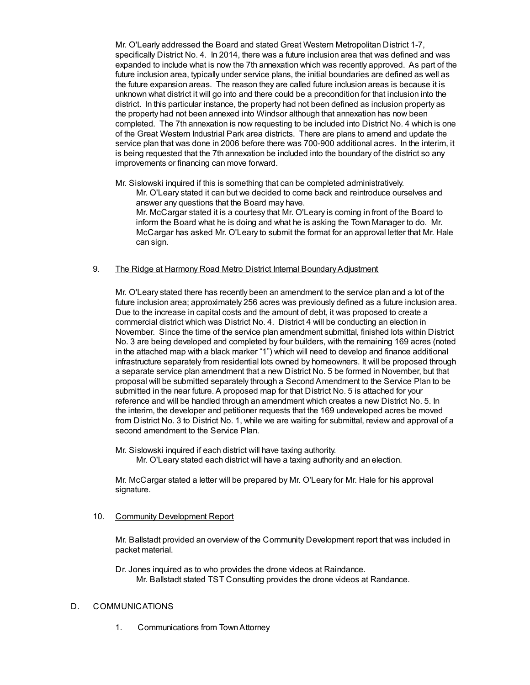Mr. O'Learly addressed the Board and stated Great Western Metropolitan District 1-7, specifically District No. 4. In 2014, there was a future inclusion area that was defined and was expanded to include what is now the 7th annexation which was recently approved. As part of the future inclusion area, typically under service plans, the initial boundaries are defined as well as the future expansion areas. The reason they are called future inclusion areas is because it is unknown what district it will go into and there could be a precondition for that inclusion into the district. In this particular instance, the property had not been defined as inclusion property as the property had not been annexed into Windsor although that annexation has now been completed. The 7th annexation is now requesting to be included into District No. 4 which is one of the Great Western Industrial Park area districts. There are plans to amend and update the service plan that was done in 2006 before there was 700-900 additional acres. In the interim, it is being requested that the 7th annexation be included into the boundary of the district so any improvements or financing can move forward.

Mr. Sislowski inquired if this is something that can be completed administratively.

Mr. O'Leary stated it can but we decided to come back and reintroduce ourselves and answer any questions that the Board may have.

Mr. McCargar stated it is a courtesy that Mr. O'Leary is coming in front of the Board to inform the Board what he is doing and what he is asking the Town Manager to do. Mr. McCargar has asked Mr. O'Leary to submit the format for an approval letter that Mr. Hale can sign.

### 9. The Ridge at Harmony Road Metro District Internal BoundaryAdjustment

Mr. O'Leary stated there has recently been an amendment to the service plan and a lot of the future inclusion area; approximately 256 acres was previously defined as a future inclusion area. Due to the increase in capital costs and the amount of debt, it was proposed to create a commercial district which was District No. 4. District 4 will be conducting an election in November. Since the time of the service plan amendment submittal, finished lots within District No. 3 are being developed and completed by four builders, with the remaining 169 acres (noted in the attached map with a black marker "1") which will need to develop and finance additional infrastructure separately from residential lots owned by homeowners. It will be proposed through a separate service plan amendment that a new District No. 5 be formed in November, but that proposal will be submitted separately through a Second Amendment to the Service Plan to be submitted in the near future. A proposed map for that District No. 5 is attached for your reference and will be handled through an amendment which creates a new District No. 5. In the interim, the developer and petitioner requests that the 169 undeveloped acres be moved from District No. 3 to District No. 1, while we are waiting for submittal, review and approval of a second amendment to the Service Plan.

Mr. Sislowski inquired if each district will have taxing authority. Mr. O'Leary stated each district will have a taxing authority and an election.

Mr. McCargar stated a letter will be prepared by Mr. O'Leary for Mr. Hale for his approval signature.

#### 10. Community Development Report

Mr. Ballstadt provided an overview of the Community Development report that was included in packet material.

Dr. Jones inquired as to who provides the drone videos at Raindance. Mr. Ballstadt stated TST Consulting provides the drone videos at Randance.

### D. COMMUNICATIONS

1. Communications from TownAttorney